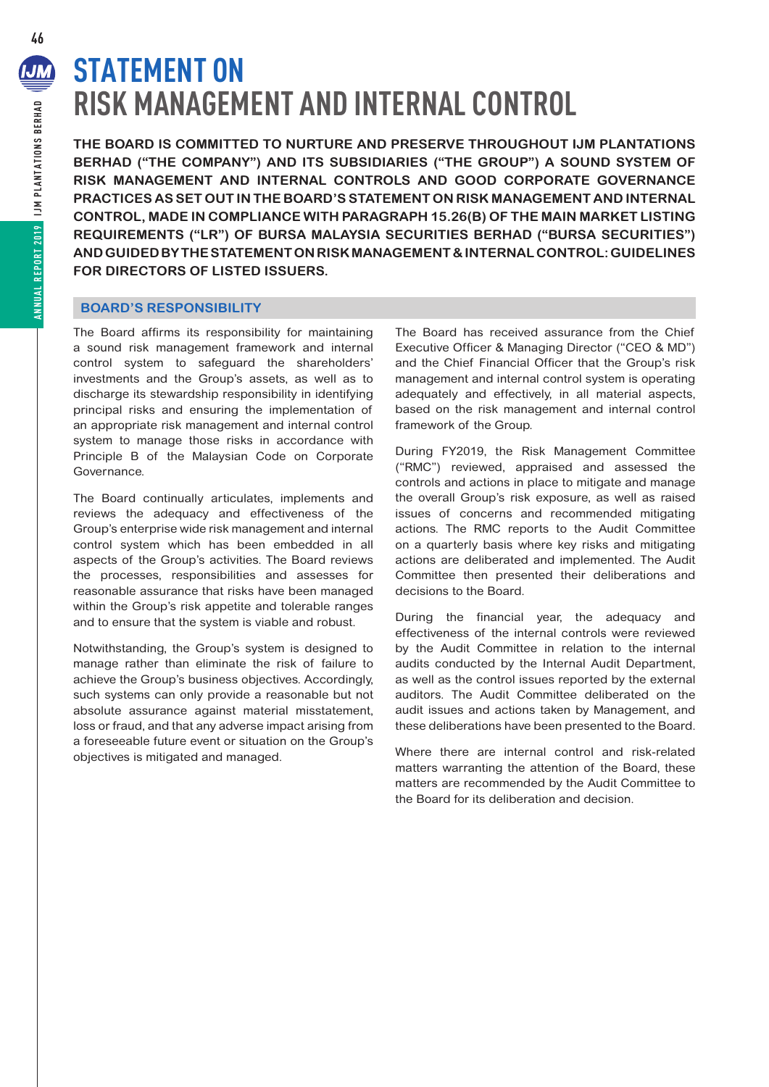# **STATEMENT ON RISK MANAGEMENT AND INTERNAL CONTROL**

**THE BOARD IS COMMITTED TO NURTURE AND PRESERVE THROUGHOUT IJM PLANTATIONS BERHAD ("THE COMPANY") AND ITS SUBSIDIARIES ("THE GROUP") A SOUND SYSTEM OF RISK MANAGEMENT AND INTERNAL CONTROLS AND GOOD CORPORATE GOVERNANCE PRACTICES AS SET OUT IN THE BOARD'S STATEMENT ON RISK MANAGEMENT AND INTERNAL CONTROL, MADE IN COMPLIANCE WITH PARAGRAPH 15.26(B) OF THE MAIN MARKET LISTING REQUIREMENTS ("LR") OF BURSA MALAYSIA SECURITIES BERHAD ("BURSA SECURITIES") AND GUIDED BY THE STATEMENT ON RISK MANAGEMENT & INTERNAL CONTROL: GUIDELINES FOR DIRECTORS OF LISTED ISSUERS.** 

## **BOARD'S RESPONSIBILITY**

The Board affirms its responsibility for maintaining a sound risk management framework and internal control system to safeguard the shareholders' investments and the Group's assets, as well as to discharge its stewardship responsibility in identifying principal risks and ensuring the implementation of an appropriate risk management and internal control system to manage those risks in accordance with Principle B of the Malaysian Code on Corporate Governance.

The Board continually articulates, implements and reviews the adequacy and effectiveness of the Group's enterprise wide risk management and internal control system which has been embedded in all aspects of the Group's activities. The Board reviews the processes, responsibilities and assesses for reasonable assurance that risks have been managed within the Group's risk appetite and tolerable ranges and to ensure that the system is viable and robust.

Notwithstanding, the Group's system is designed to manage rather than eliminate the risk of failure to achieve the Group's business objectives. Accordingly, such systems can only provide a reasonable but not absolute assurance against material misstatement, loss or fraud, and that any adverse impact arising from a foreseeable future event or situation on the Group's objectives is mitigated and managed.

The Board has received assurance from the Chief Executive Officer & Managing Director ("CEO & MD") and the Chief Financial Officer that the Group's risk management and internal control system is operating adequately and effectively, in all material aspects, based on the risk management and internal control framework of the Group.

During FY2019, the Risk Management Committee ("RMC") reviewed, appraised and assessed the controls and actions in place to mitigate and manage the overall Group's risk exposure, as well as raised issues of concerns and recommended mitigating actions. The RMC reports to the Audit Committee on a quarterly basis where key risks and mitigating actions are deliberated and implemented. The Audit Committee then presented their deliberations and decisions to the Board.

During the financial year, the adequacy and effectiveness of the internal controls were reviewed by the Audit Committee in relation to the internal audits conducted by the Internal Audit Department, as well as the control issues reported by the external auditors. The Audit Committee deliberated on the audit issues and actions taken by Management, and these deliberations have been presented to the Board.

Where there are internal control and risk-related matters warranting the attention of the Board, these matters are recommended by the Audit Committee to the Board for its deliberation and decision.

**IJM**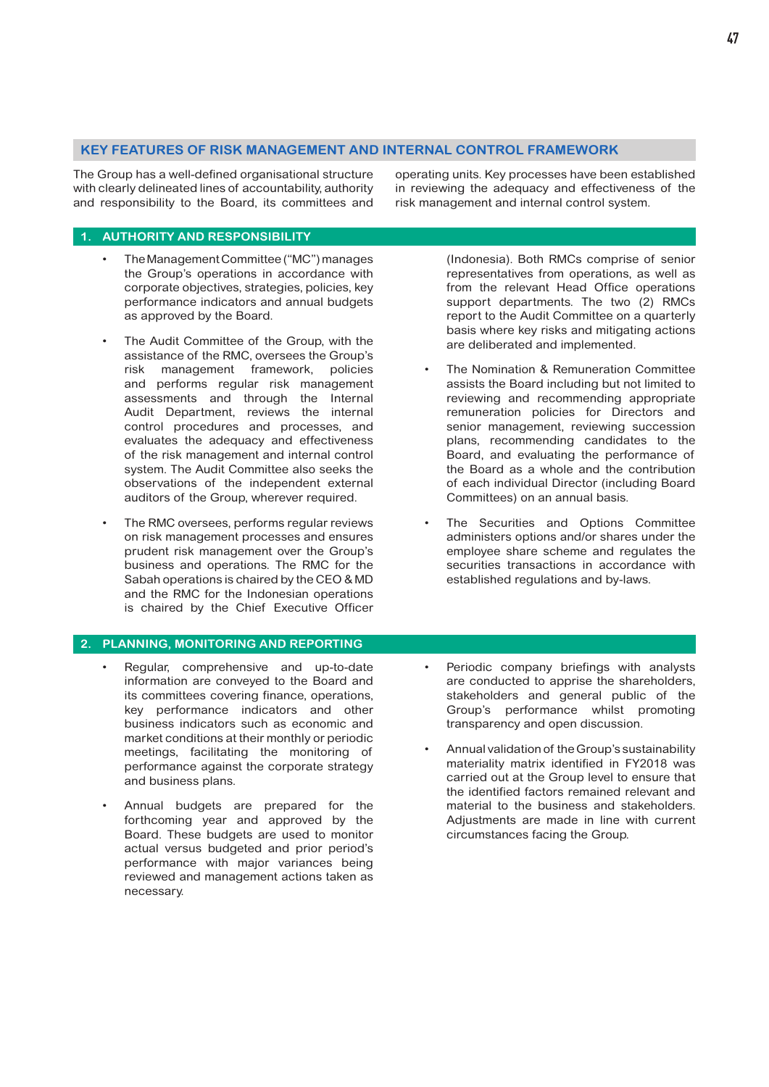#### **KEY FEATURES OF RISK MANAGEMENT AND INTERNAL CONTROL FRAMEWORK**

The Group has a well-defined organisational structure with clearly delineated lines of accountability, authority and responsibility to the Board, its committees and

#### **1. AUTHORITY AND RESPONSIBILITY**

- The Management Committee ("MC") manages the Group's operations in accordance with corporate objectives, strategies, policies, key performance indicators and annual budgets as approved by the Board.
- The Audit Committee of the Group, with the assistance of the RMC, oversees the Group's risk management framework, policies and performs regular risk management assessments and through the Internal Audit Department, reviews the internal control procedures and processes, and evaluates the adequacy and effectiveness of the risk management and internal control system. The Audit Committee also seeks the observations of the independent external auditors of the Group, wherever required.
- The RMC oversees, performs regular reviews on risk management processes and ensures prudent risk management over the Group's business and operations. The RMC for the Sabah operations is chaired by the CEO & MD and the RMC for the Indonesian operations is chaired by the Chief Executive Officer

#### **2. PLANNING, MONITORING AND REPORTING**

- Regular, comprehensive and up-to-date information are conveyed to the Board and its committees covering finance, operations, key performance indicators and other business indicators such as economic and market conditions at their monthly or periodic meetings, facilitating the monitoring of performance against the corporate strategy and business plans.
- Annual budgets are prepared for the forthcoming year and approved by the Board. These budgets are used to monitor actual versus budgeted and prior period's performance with major variances being reviewed and management actions taken as necessary.

operating units. Key processes have been established in reviewing the adequacy and effectiveness of the risk management and internal control system.

> (Indonesia). Both RMCs comprise of senior representatives from operations, as well as from the relevant Head Office operations support departments. The two (2) RMCs report to the Audit Committee on a quarterly basis where key risks and mitigating actions are deliberated and implemented.

- The Nomination & Remuneration Committee assists the Board including but not limited to reviewing and recommending appropriate remuneration policies for Directors and senior management, reviewing succession plans, recommending candidates to the Board, and evaluating the performance of the Board as a whole and the contribution of each individual Director (including Board Committees) on an annual basis.
- The Securities and Options Committee administers options and/or shares under the employee share scheme and regulates the securities transactions in accordance with established regulations and by-laws.
- Periodic company briefings with analysts are conducted to apprise the shareholders, stakeholders and general public of the Group's performance whilst promoting transparency and open discussion.
- Annual validation of the Group's sustainability materiality matrix identified in FY2018 was carried out at the Group level to ensure that the identified factors remained relevant and material to the business and stakeholders. Adjustments are made in line with current circumstances facing the Group.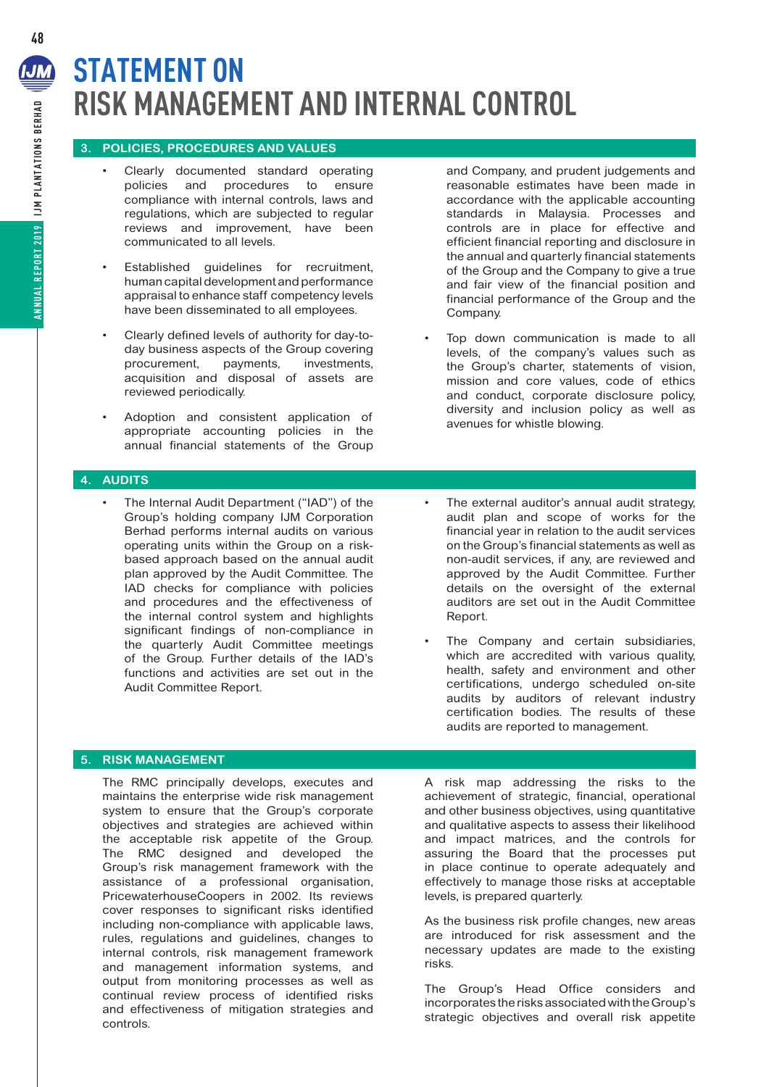# **STATEMENT ON RISK MANAGEMENT AND INTERNAL CONTROL**

#### **3. POLICIES, PROCEDURES AND VALUES**

- Clearly documented standard operating policies and procedures to ensure compliance with internal controls, laws and regulations, which are subjected to regular reviews and improvement, have been communicated to all levels.
- Established guidelines for recruitment, human capital development and performance appraisal to enhance staff competency levels have been disseminated to all employees.
- Clearly defined levels of authority for day-today business aspects of the Group covering procurement, payments, investments, acquisition and disposal of assets are reviewed periodically.
- Adoption and consistent application of appropriate accounting policies in the annual financial statements of the Group

### **4. AUDITS**

The Internal Audit Department ("IAD") of the Group's holding company IJM Corporation Berhad performs internal audits on various operating units within the Group on a riskbased approach based on the annual audit plan approved by the Audit Committee. The IAD checks for compliance with policies and procedures and the effectiveness of the internal control system and highlights significant findings of non-compliance in the quarterly Audit Committee meetings of the Group. Further details of the IAD's functions and activities are set out in the Audit Committee Report.

**5. RISK MANAGEMENT** 

The RMC principally develops, executes and maintains the enterprise wide risk management system to ensure that the Group's corporate objectives and strategies are achieved within the acceptable risk appetite of the Group. The RMC designed and developed the Group's risk management framework with the assistance of a professional organisation, PricewaterhouseCoopers in 2002. Its reviews cover responses to significant risks identified including non-compliance with applicable laws, rules, regulations and guidelines, changes to internal controls, risk management framework and management information systems, and output from monitoring processes as well as continual review process of identified risks and effectiveness of mitigation strategies and controls.

and Company, and prudent judgements and reasonable estimates have been made in accordance with the applicable accounting standards in Malaysia. Processes and controls are in place for effective and efficient financial reporting and disclosure in the annual and quarterly financial statements of the Group and the Company to give a true and fair view of the financial position and financial performance of the Group and the Company.

- Top down communication is made to all levels, of the company's values such as the Group's charter, statements of vision, mission and core values, code of ethics and conduct, corporate disclosure policy, diversity and inclusion policy as well as avenues for whistle blowing.
- • The external auditor's annual audit strategy, audit plan and scope of works for the financial year in relation to the audit services on the Group's financial statements as well as non-audit services, if any, are reviewed and approved by the Audit Committee. Further details on the oversight of the external auditors are set out in the Audit Committee Report.
	- The Company and certain subsidiaries, which are accredited with various quality, health, safety and environment and other certifications, undergo scheduled on-site audits by auditors of relevant industry certification bodies. The results of these audits are reported to management.

A risk map addressing the risks to the achievement of strategic, financial, operational and other business objectives, using quantitative and qualitative aspects to assess their likelihood and impact matrices, and the controls for assuring the Board that the processes put in place continue to operate adequately and effectively to manage those risks at acceptable levels, is prepared quarterly.

As the business risk profile changes, new areas are introduced for risk assessment and the necessary updates are made to the existing risks.

The Group's Head Office considers and incorporates the risks associated with the Group's strategic objectives and overall risk appetite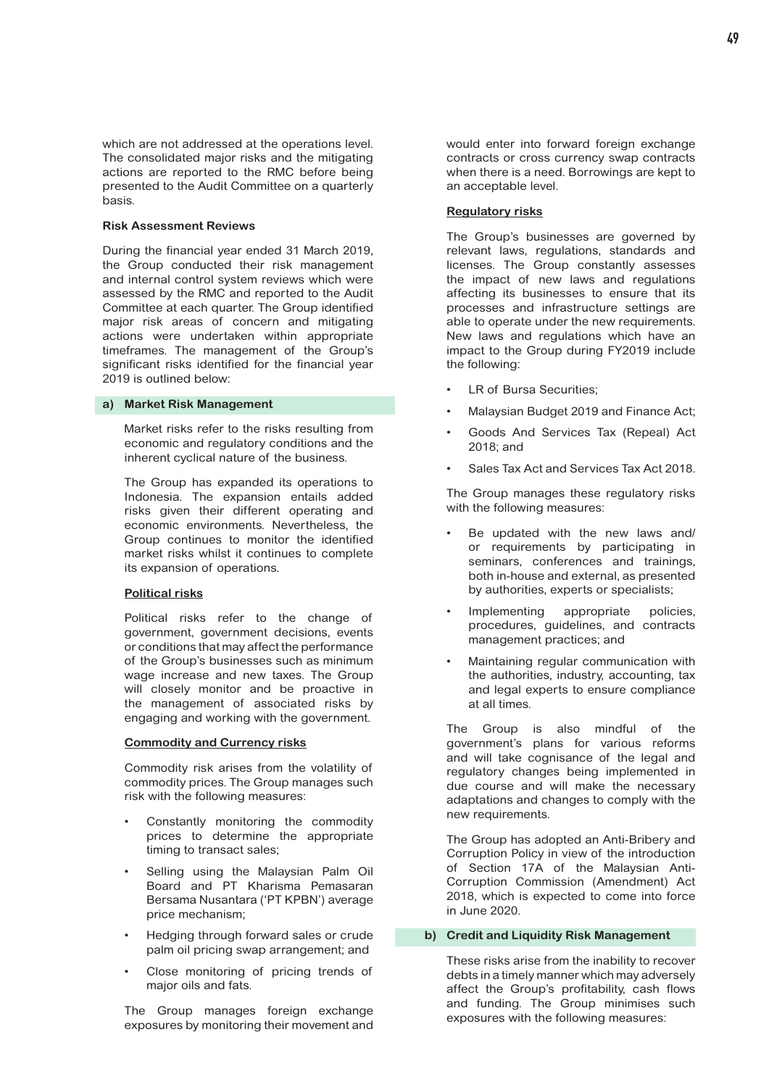which are not addressed at the operations level. The consolidated major risks and the mitigating actions are reported to the RMC before being presented to the Audit Committee on a quarterly basis.

#### **Risk Assessment Reviews**

During the financial year ended 31 March 2019, the Group conducted their risk management and internal control system reviews which were assessed by the RMC and reported to the Audit Committee at each quarter. The Group identified major risk areas of concern and mitigating actions were undertaken within appropriate timeframes. The management of the Group's significant risks identified for the financial year 2019 is outlined below:

#### **a) Market Risk Management**

Market risks refer to the risks resulting from economic and regulatory conditions and the inherent cyclical nature of the business.

The Group has expanded its operations to Indonesia. The expansion entails added risks given their different operating and economic environments. Nevertheless, the Group continues to monitor the identified market risks whilst it continues to complete its expansion of operations.

#### **Political risks**

Political risks refer to the change of government, government decisions, events or conditions that may affect the performance of the Group's businesses such as minimum wage increase and new taxes. The Group will closely monitor and be proactive in the management of associated risks by engaging and working with the government.

#### **Commodity and Currency risks**

Commodity risk arises from the volatility of commodity prices. The Group manages such risk with the following measures:

- **Constantly monitoring the commodity** prices to determine the appropriate timing to transact sales;
- Selling using the Malaysian Palm Oil Board and PT Kharisma Pemasaran Bersama Nusantara ('PT KPBN') average price mechanism;
- **Bedging through forward sales or crude** palm oil pricing swap arrangement; and
- $\Omega$ lose monitoring of pricing trends of major oils and fats.

The Group manages foreign exchange exposures by monitoring their movement and would enter into forward foreign exchange contracts or cross currency swap contracts when there is a need. Borrowings are kept to an acceptable level.

#### **Regulatory risks**

The Group's businesses are governed by relevant laws, regulations, standards and licenses. The Group constantly assesses the impact of new laws and regulations affecting its businesses to ensure that its processes and infrastructure settings are able to operate under the new requirements. New laws and regulations which have an impact to the Group during FY2019 include the following:

- LR of Bursa Securities;
- Malaysian Budget 2019 and Finance Act;
- Goods And Services Tax (Repeal) Act 2018; and
- Sales Tax Act and Services Tax Act 2018.

The Group manages these regulatory risks with the following measures:

- Be updated with the new laws and/ or requirements by participating in seminars, conferences and trainings, both in-house and external, as presented by authorities, experts or specialists;
- **implementing** appropriate policies, procedures, guidelines, and contracts management practices; and
- **Maintaining regular communication with** the authorities, industry, accounting, tax and legal experts to ensure compliance at all times.

The Group is also mindful of the government's plans for various reforms and will take cognisance of the legal and regulatory changes being implemented in due course and will make the necessary adaptations and changes to comply with the new requirements.

The Group has adopted an Anti-Bribery and Corruption Policy in view of the introduction of Section 17A of the Malaysian Anti-Corruption Commission (Amendment) Act 2018, which is expected to come into force in June 2020.

#### **b) Credit and Liquidity Risk Management**

These risks arise from the inability to recover debts in a timely manner which may adversely affect the Group's profitability, cash flows and funding. The Group minimises such exposures with the following measures: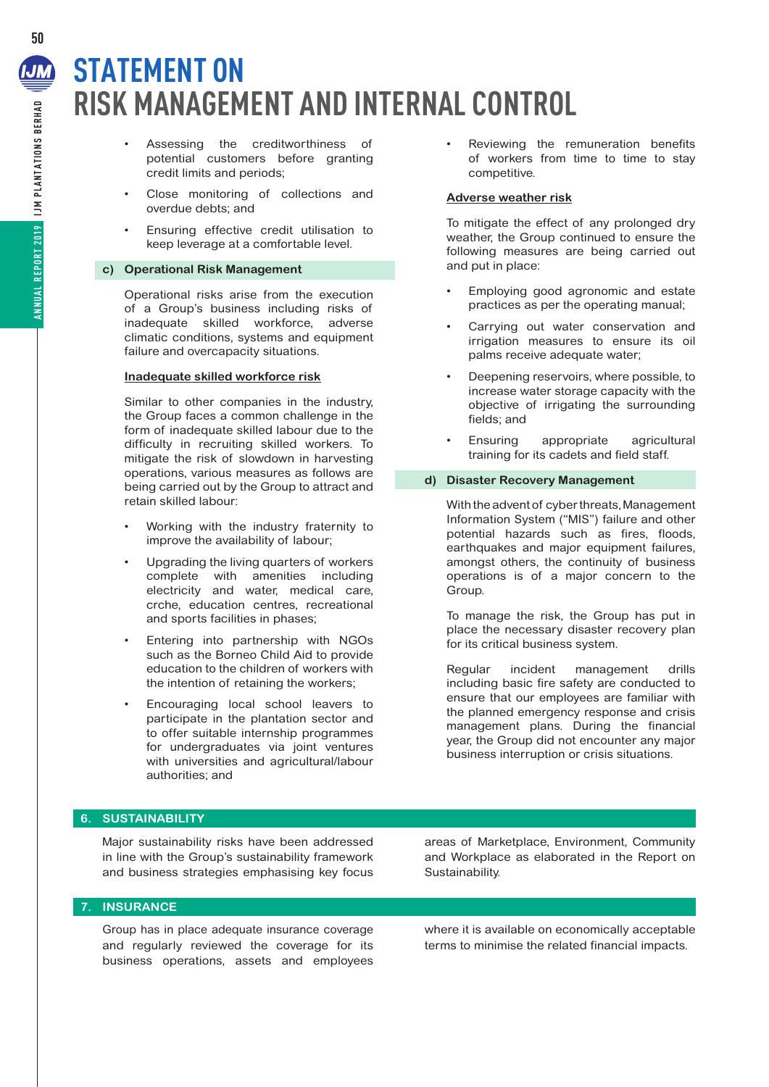# **STATEMENT ON RISK MANAGEMENT AND INTERNAL CONTROL**

- Assessing the creditworthiness of potential customers before granting credit limits and periods;
	- $\Omega$ lose monitoring of collections and overdue debts; and
	- **Ensuring effective credit utilisation to** keep leverage at a comfortable level.

### **c) Operational Risk Management**

Operational risks arise from the execution of a Group's business including risks of inadequate skilled workforce, adverse climatic conditions, systems and equipment failure and overcapacity situations.

#### **Inadequate skilled workforce risk**

Similar to other companies in the industry, the Group faces a common challenge in the form of inadequate skilled labour due to the difficulty in recruiting skilled workers. To mitigate the risk of slowdown in harvesting operations, various measures as follows are being carried out by the Group to attract and retain skilled labour:

- **Working with the industry fraternity to** improve the availability of labour;
- **D**ipgrading the living quarters of workers complete with amenities including electricity and water, medical care, cràhe, education centres, recreational and sports facilities in phases;
- **Entering into partnership with NGOs** such as the Borneo Child Aid to provide education to the children of workers with the intention of retaining the workers;
- Encouraging local school leavers to participate in the plantation sector and to offer suitable internship programmes for undergraduates via joint ventures with universities and agricultural/labour authorities; and

**Reviewing the remuneration benefits** of workers from time to time to stay competitive.

#### **Adverse weather risk**

To mitigate the effect of any prolonged dry weather, the Group continued to ensure the following measures are being carried out and put in place:

- Employing good agronomic and estate practices as per the operating manual;
- **6**arrying out water conservation and irrigation measures to ensure its oil palms receive adequate water;
- **Deepening reservoirs, where possible, to** increase water storage capacity with the objective of irrigating the surrounding fields; and
- **Ensuring** appropriate agricultural training for its cadets and field staff.

#### **d) Disaster Recovery Management**

With the advent of cyber threats, Management Information System ("MIS") failure and other potential hazards such as fires, floods, earthquakes and major equipment failures, amongst others, the continuity of business operations is of a major concern to the Group.

To manage the risk, the Group has put in place the necessary disaster recovery plan for its critical business system.

Regular incident management drills including basic fire safety are conducted to ensure that our employees are familiar with the planned emergency response and crisis management plans. During the financial year, the Group did not encounter any major business interruption or crisis situations.

#### **6. SUSTAINABILITY**

Major sustainability risks have been addressed in line with the Group's sustainability framework and business strategies emphasising key focus

areas of Marketplace, Environment, Community and Workplace as elaborated in the Report on Sustainability.

#### **7. INSURANCE**

Group has in place adequate insurance coverage and regularly reviewed the coverage for its business operations, assets and employees where it is available on economically acceptable terms to minimise the related financial impacts.

JM